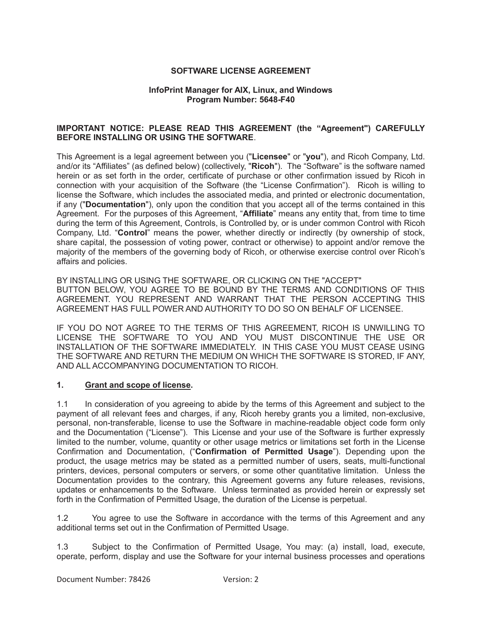#### **SOFTWARE LICENSE AGREEMENT**

#### **InfoPrint Manager for AIX, Linux, and Windows Program Number: 5648-F40**

#### **IMPORTANT NOTICE: PLEASE READ THIS AGREEMENT (the "Agreement") CAREFULLY BEFORE INSTALLING OR USING THE SOFTWARE**.

This Agreement is a legal agreement between you ("**Licensee**" or "**you**"), and Ricoh Company, Ltd. and/or its "Affiliates" (as defined below) (collectively, "**Ricoh**"). The "Software" is the software named herein or as set forth in the order, certificate of purchase or other confirmation issued by Ricoh in connection with your acquisition of the Software (the "License Confirmation"). Ricoh is willing to license the Software, which includes the associated media, and printed or electronic documentation, if any ("**Documentation**"), only upon the condition that you accept all of the terms contained in this Agreement. For the purposes of this Agreement, "**Affiliate**" means any entity that, from time to time during the term of this Agreement, Controls, is Controlled by, or is under common Control with Ricoh Company, Ltd. "**Control**" means the power, whether directly or indirectly (by ownership of stock, share capital, the possession of voting power, contract or otherwise) to appoint and/or remove the majority of the members of the governing body of Ricoh, or otherwise exercise control over Ricoh's affairs and policies.

BY INSTALLING OR USING THE SOFTWARE, OR CLICKING ON THE "ACCEPT" BUTTON BELOW, YOU AGREE TO BE BOUND BY THE TERMS AND CONDITIONS OF THIS AGREEMENT. YOU REPRESENT AND WARRANT THAT THE PERSON ACCEPTING THIS AGREEMENT HAS FULL POWER AND AUTHORITY TO DO SO ON BEHALF OF LICENSEE.

IF YOU DO NOT AGREE TO THE TERMS OF THIS AGREEMENT, RICOH IS UNWILLING TO LICENSE THE SOFTWARE TO YOU AND YOU MUST DISCONTINUE THE USE OR INSTALLATION OF THE SOFTWARE IMMEDIATELY. IN THIS CASE YOU MUST CEASE USING THE SOFTWARE AND RETURN THE MEDIUM ON WHICH THE SOFTWARE IS STORED, IF ANY, AND ALL ACCOMPANYING DOCUMENTATION TO RICOH.

#### **1. Grant and scope of license.**

1.1 In consideration of you agreeing to abide by the terms of this Agreement and subject to the payment of all relevant fees and charges, if any, Ricoh hereby grants you a limited, non-exclusive, personal, non-transferable, license to use the Software in machine-readable object code form only and the Documentation ("License"). This License and your use of the Software is further expressly limited to the number, volume, quantity or other usage metrics or limitations set forth in the License Confirmation and Documentation, ("**Confirmation of Permitted Usage**"). Depending upon the product, the usage metrics may be stated as a permitted number of users, seats, multi-functional printers, devices, personal computers or servers, or some other quantitative limitation. Unless the Documentation provides to the contrary, this Agreement governs any future releases, revisions, updates or enhancements to the Software. Unless terminated as provided herein or expressly set forth in the Confirmation of Permitted Usage, the duration of the License is perpetual.

1.2 You agree to use the Software in accordance with the terms of this Agreement and any additional terms set out in the Confirmation of Permitted Usage.

1.3 Subject to the Confirmation of Permitted Usage, You may: (a) install, load, execute, operate, perform, display and use the Software for your internal business processes and operations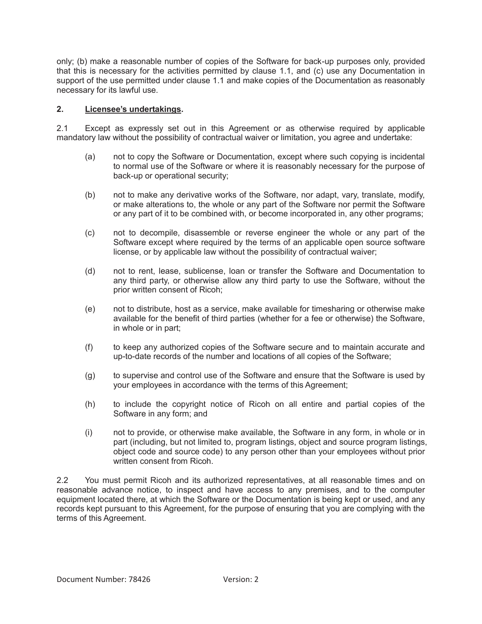only; (b) make a reasonable number of copies of the Software for back-up purposes only, provided that this is necessary for the activities permitted by clause 1.1, and (c) use any Documentation in support of the use permitted under clause 1.1 and make copies of the Documentation as reasonably necessary for its lawful use.

## **2. Licensee's undertakings.**

2.1 Except as expressly set out in this Agreement or as otherwise required by applicable mandatory law without the possibility of contractual waiver or limitation, you agree and undertake:

- (a) not to copy the Software or Documentation, except where such copying is incidental to normal use of the Software or where it is reasonably necessary for the purpose of back-up or operational security;
- (b) not to make any derivative works of the Software, nor adapt, vary, translate, modify, or make alterations to, the whole or any part of the Software nor permit the Software or any part of it to be combined with, or become incorporated in, any other programs;
- (c) not to decompile, disassemble or reverse engineer the whole or any part of the Software except where required by the terms of an applicable open source software license, or by applicable law without the possibility of contractual waiver;
- (d) not to rent, lease, sublicense, loan or transfer the Software and Documentation to any third party, or otherwise allow any third party to use the Software, without the prior written consent of Ricoh;
- (e) not to distribute, host as a service, make available for timesharing or otherwise make available for the benefit of third parties (whether for a fee or otherwise) the Software, in whole or in part;
- (f) to keep any authorized copies of the Software secure and to maintain accurate and up-to-date records of the number and locations of all copies of the Software;
- (g) to supervise and control use of the Software and ensure that the Software is used by your employees in accordance with the terms of this Agreement;
- (h) to include the copyright notice of Ricoh on all entire and partial copies of the Software in any form; and
- (i) not to provide, or otherwise make available, the Software in any form, in whole or in part (including, but not limited to, program listings, object and source program listings, object code and source code) to any person other than your employees without prior written consent from Ricoh

2.2 You must permit Ricoh and its authorized representatives, at all reasonable times and on reasonable advance notice, to inspect and have access to any premises, and to the computer equipment located there, at which the Software or the Documentation is being kept or used, and any records kept pursuant to this Agreement, for the purpose of ensuring that you are complying with the terms of this Agreement.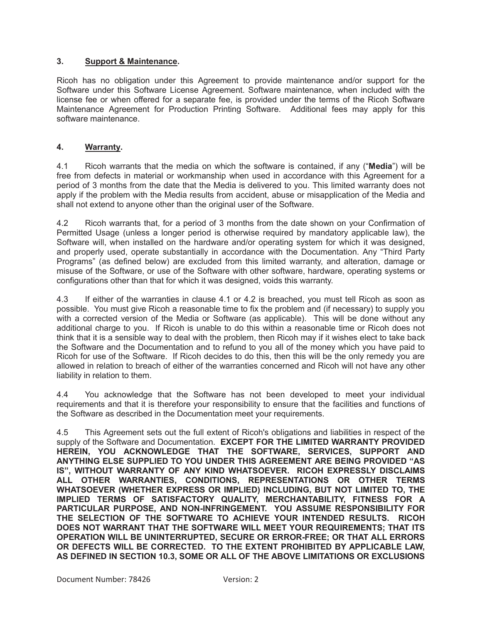#### **3. Support & Maintenance.**

Ricoh has no obligation under this Agreement to provide maintenance and/or support for the Software under this Software License Agreement. Software maintenance, when included with the license fee or when offered for a separate fee, is provided under the terms of the Ricoh Software Maintenance Agreement for Production Printing Software. Additional fees may apply for this software maintenance.

# **4. Warranty.**

4.1 Ricoh warrants that the media on which the software is contained, if any ("**Media**") will be free from defects in material or workmanship when used in accordance with this Agreement for a period of 3 months from the date that the Media is delivered to you. This limited warranty does not apply if the problem with the Media results from accident, abuse or misapplication of the Media and shall not extend to anyone other than the original user of the Software.

4.2 Ricoh warrants that, for a period of 3 months from the date shown on your Confirmation of Permitted Usage (unless a longer period is otherwise required by mandatory applicable law), the Software will, when installed on the hardware and/or operating system for which it was designed, and properly used, operate substantially in accordance with the Documentation. Any "Third Party Programs" (as defined below) are excluded from this limited warranty, and alteration, damage or misuse of the Software, or use of the Software with other software, hardware, operating systems or configurations other than that for which it was designed, voids this warranty.

4.3 If either of the warranties in clause 4.1 or 4.2 is breached, you must tell Ricoh as soon as possible. You must give Ricoh a reasonable time to fix the problem and (if necessary) to supply you with a corrected version of the Media or Software (as applicable). This will be done without any additional charge to you. If Ricoh is unable to do this within a reasonable time or Ricoh does not think that it is a sensible way to deal with the problem, then Ricoh may if it wishes elect to take back the Software and the Documentation and to refund to you all of the money which you have paid to Ricoh for use of the Software. If Ricoh decides to do this, then this will be the only remedy you are allowed in relation to breach of either of the warranties concerned and Ricoh will not have any other liability in relation to them.

4.4 You acknowledge that the Software has not been developed to meet your individual requirements and that it is therefore your responsibility to ensure that the facilities and functions of the Software as described in the Documentation meet your requirements.

4.5 This Agreement sets out the full extent of Ricoh's obligations and liabilities in respect of the supply of the Software and Documentation. **EXCEPT FOR THE LIMITED WARRANTY PROVIDED HEREIN, YOU ACKNOWLEDGE THAT THE SOFTWARE, SERVICES, SUPPORT AND ANYTHING ELSE SUPPLIED TO YOU UNDER THIS AGREEMENT ARE BEING PROVIDED "AS IS", WITHOUT WARRANTY OF ANY KIND WHATSOEVER. RICOH EXPRESSLY DISCLAIMS ALL OTHER WARRANTIES, CONDITIONS, REPRESENTATIONS OR OTHER TERMS WHATSOEVER (WHETHER EXPRESS OR IMPLIED) INCLUDING, BUT NOT LIMITED TO, THE IMPLIED TERMS OF SATISFACTORY QUALITY, MERCHANTABILITY, FITNESS FOR A PARTICULAR PURPOSE, AND NON-INFRINGEMENT. YOU ASSUME RESPONSIBILITY FOR THE SELECTION OF THE SOFTWARE TO ACHIEVE YOUR INTENDED RESULTS. RICOH DOES NOT WARRANT THAT THE SOFTWARE WILL MEET YOUR REQUIREMENTS; THAT ITS OPERATION WILL BE UNINTERRUPTED, SECURE OR ERROR-FREE; OR THAT ALL ERRORS OR DEFECTS WILL BE CORRECTED. TO THE EXTENT PROHIBITED BY APPLICABLE LAW, AS DEFINED IN SECTION 10.3, SOME OR ALL OF THE ABOVE LIMITATIONS OR EXCLUSIONS**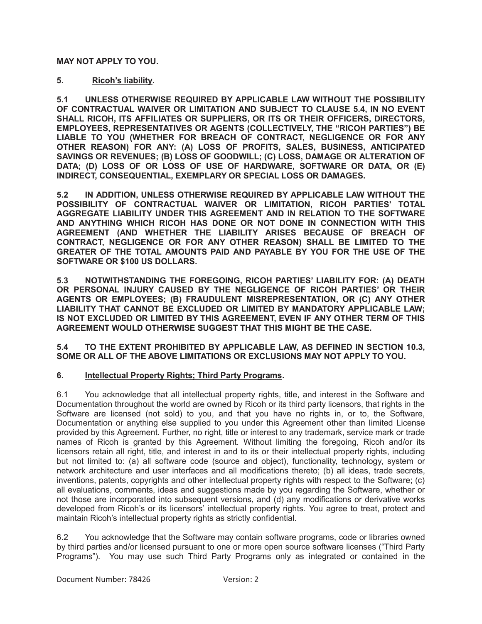## **MAY NOT APPLY TO YOU.**

# **5. Ricoh's liability.**

**5.1 UNLESS OTHERWISE REQUIRED BY APPLICABLE LAW WITHOUT THE POSSIBILITY OF CONTRACTUAL WAIVER OR LIMITATION AND SUBJECT TO CLAUSE 5.4, IN NO EVENT SHALL RICOH, ITS AFFILIATES OR SUPPLIERS, OR ITS OR THEIR OFFICERS, DIRECTORS, EMPLOYEES, REPRESENTATIVES OR AGENTS (COLLECTIVELY, THE "RICOH PARTIES") BE LIABLE TO YOU (WHETHER FOR BREACH OF CONTRACT, NEGLIGENCE OR FOR ANY OTHER REASON) FOR ANY: (A) LOSS OF PROFITS, SALES, BUSINESS, ANTICIPATED SAVINGS OR REVENUES; (B) LOSS OF GOODWILL; (C) LOSS, DAMAGE OR ALTERATION OF DATA; (D) LOSS OF OR LOSS OF USE OF HARDWARE, SOFTWARE OR DATA, OR (E) INDIRECT, CONSEQUENTIAL, EXEMPLARY OR SPECIAL LOSS OR DAMAGES.** 

**5.2 IN ADDITION, UNLESS OTHERWISE REQUIRED BY APPLICABLE LAW WITHOUT THE POSSIBILITY OF CONTRACTUAL WAIVER OR LIMITATION, RICOH PARTIES' TOTAL AGGREGATE LIABILITY UNDER THIS AGREEMENT AND IN RELATION TO THE SOFTWARE AND ANYTHING WHICH RICOH HAS DONE OR NOT DONE IN CONNECTION WITH THIS AGREEMENT (AND WHETHER THE LIABILITY ARISES BECAUSE OF BREACH OF CONTRACT, NEGLIGENCE OR FOR ANY OTHER REASON) SHALL BE LIMITED TO THE GREATER OF THE TOTAL AMOUNTS PAID AND PAYABLE BY YOU FOR THE USE OF THE SOFTWARE OR \$100 US DOLLARS.** 

**5.3 NOTWITHSTANDING THE FOREGOING, RICOH PARTIES' LIABILITY FOR: (A) DEATH OR PERSONAL INJURY CAUSED BY THE NEGLIGENCE OF RICOH PARTIES' OR THEIR AGENTS OR EMPLOYEES; (B) FRAUDULENT MISREPRESENTATION, OR (C) ANY OTHER LIABILITY THAT CANNOT BE EXCLUDED OR LIMITED BY MANDATORY APPLICABLE LAW; IS NOT EXCLUDED OR LIMITED BY THIS AGREEMENT, EVEN IF ANY OTHER TERM OF THIS AGREEMENT WOULD OTHERWISE SUGGEST THAT THIS MIGHT BE THE CASE.** 

## **5.4 TO THE EXTENT PROHIBITED BY APPLICABLE LAW, AS DEFINED IN SECTION 10.3, SOME OR ALL OF THE ABOVE LIMITATIONS OR EXCLUSIONS MAY NOT APPLY TO YOU.**

# **6. Intellectual Property Rights; Third Party Programs.**

6.1 You acknowledge that all intellectual property rights, title, and interest in the Software and Documentation throughout the world are owned by Ricoh or its third party licensors, that rights in the Software are licensed (not sold) to you, and that you have no rights in, or to, the Software, Documentation or anything else supplied to you under this Agreement other than limited License provided by this Agreement. Further, no right, title or interest to any trademark, service mark or trade names of Ricoh is granted by this Agreement. Without limiting the foregoing, Ricoh and/or its licensors retain all right, title, and interest in and to its or their intellectual property rights, including but not limited to: (a) all software code (source and object), functionality, technology, system or network architecture and user interfaces and all modifications thereto; (b) all ideas, trade secrets, inventions, patents, copyrights and other intellectual property rights with respect to the Software; (c) all evaluations, comments, ideas and suggestions made by you regarding the Software, whether or not those are incorporated into subsequent versions, and (d) any modifications or derivative works developed from Ricoh's or its licensors' intellectual property rights. You agree to treat, protect and maintain Ricoh's intellectual property rights as strictly confidential.

6.2 You acknowledge that the Software may contain software programs, code or libraries owned by third parties and/or licensed pursuant to one or more open source software licenses ("Third Party Programs"). You may use such Third Party Programs only as integrated or contained in the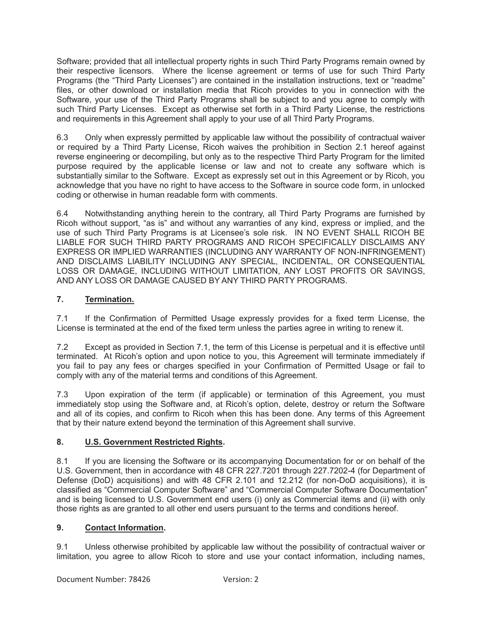Software; provided that all intellectual property rights in such Third Party Programs remain owned by their respective licensors. Where the license agreement or terms of use for such Third Party Programs (the "Third Party Licenses") are contained in the installation instructions, text or "readme" files, or other download or installation media that Ricoh provides to you in connection with the Software, your use of the Third Party Programs shall be subject to and you agree to comply with such Third Party Licenses. Except as otherwise set forth in a Third Party License, the restrictions and requirements in this Agreement shall apply to your use of all Third Party Programs.

6.3 Only when expressly permitted by applicable law without the possibility of contractual waiver or required by a Third Party License, Ricoh waives the prohibition in Section 2.1 hereof against reverse engineering or decompiling, but only as to the respective Third Party Program for the limited purpose required by the applicable license or law and not to create any software which is substantially similar to the Software. Except as expressly set out in this Agreement or by Ricoh, you acknowledge that you have no right to have access to the Software in source code form, in unlocked coding or otherwise in human readable form with comments.

6.4 Notwithstanding anything herein to the contrary, all Third Party Programs are furnished by Ricoh without support, "as is" and without any warranties of any kind, express or implied, and the use of such Third Party Programs is at Licensee's sole risk. IN NO EVENT SHALL RICOH BE LIABLE FOR SUCH THIRD PARTY PROGRAMS AND RICOH SPECIFICALLY DISCLAIMS ANY EXPRESS OR IMPLIED WARRANTIES (INCLUDING ANY WARRANTY OF NON-INFRINGEMENT) AND DISCLAIMS LIABILITY INCLUDING ANY SPECIAL, INCIDENTAL, OR CONSEQUENTIAL LOSS OR DAMAGE, INCLUDING WITHOUT LIMITATION, ANY LOST PROFITS OR SAVINGS, AND ANY LOSS OR DAMAGE CAUSED BY ANY THIRD PARTY PROGRAMS.

# **7. Termination.**

7.1 If the Confirmation of Permitted Usage expressly provides for a fixed term License, the License is terminated at the end of the fixed term unless the parties agree in writing to renew it.

7.2 Except as provided in Section 7.1, the term of this License is perpetual and it is effective until terminated. At Ricoh's option and upon notice to you, this Agreement will terminate immediately if you fail to pay any fees or charges specified in your Confirmation of Permitted Usage or fail to comply with any of the material terms and conditions of this Agreement.

7.3 Upon expiration of the term (if applicable) or termination of this Agreement, you must immediately stop using the Software and, at Ricoh's option, delete, destroy or return the Software and all of its copies, and confirm to Ricoh when this has been done. Any terms of this Agreement that by their nature extend beyond the termination of this Agreement shall survive.

# **8. U.S. Government Restricted Rights.**

8.1 If you are licensing the Software or its accompanying Documentation for or on behalf of the U.S. Government, then in accordance with 48 CFR 227.7201 through 227.7202-4 (for Department of Defense (DoD) acquisitions) and with 48 CFR 2.101 and 12.212 (for non-DoD acquisitions), it is classified as "Commercial Computer Software" and "Commercial Computer Software Documentation" and is being licensed to U.S. Government end users (i) only as Commercial items and (ii) with only those rights as are granted to all other end users pursuant to the terms and conditions hereof.

# **9. Contact Information.**

9.1 Unless otherwise prohibited by applicable law without the possibility of contractual waiver or limitation, you agree to allow Ricoh to store and use your contact information, including names,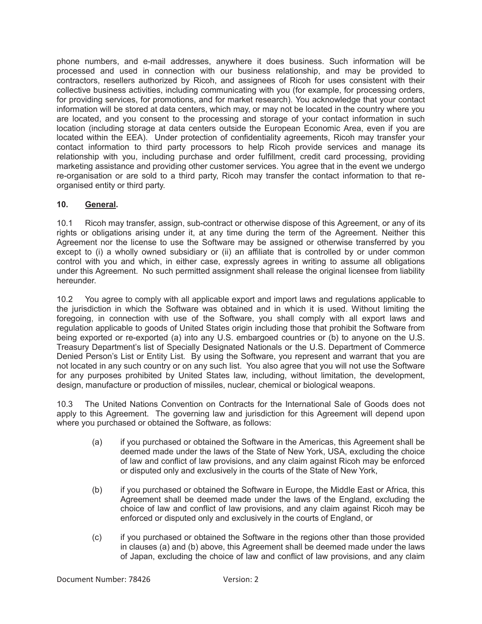phone numbers, and e-mail addresses, anywhere it does business. Such information will be processed and used in connection with our business relationship, and may be provided to contractors, resellers authorized by Ricoh, and assignees of Ricoh for uses consistent with their collective business activities, including communicating with you (for example, for processing orders, for providing services, for promotions, and for market research). You acknowledge that your contact information will be stored at data centers, which may, or may not be located in the country where you are located, and you consent to the processing and storage of your contact information in such location (including storage at data centers outside the European Economic Area, even if you are located within the EEA). Under protection of confidentiality agreements, Ricoh may transfer your contact information to third party processors to help Ricoh provide services and manage its relationship with you, including purchase and order fulfillment, credit card processing, providing marketing assistance and providing other customer services. You agree that in the event we undergo re-organisation or are sold to a third party, Ricoh may transfer the contact information to that reorganised entity or third party.

# **10. General.**

10.1 Ricoh may transfer, assign, sub-contract or otherwise dispose of this Agreement, or any of its rights or obligations arising under it, at any time during the term of the Agreement. Neither this Agreement nor the license to use the Software may be assigned or otherwise transferred by you except to (i) a wholly owned subsidiary or (ii) an affiliate that is controlled by or under common control with you and which, in either case, expressly agrees in writing to assume all obligations under this Agreement. No such permitted assignment shall release the original licensee from liability hereunder.

10.2 You agree to comply with all applicable export and import laws and regulations applicable to the jurisdiction in which the Software was obtained and in which it is used. Without limiting the foregoing, in connection with use of the Software, you shall comply with all export laws and regulation applicable to goods of United States origin including those that prohibit the Software from being exported or re-exported (a) into any U.S. embargoed countries or (b) to anyone on the U.S. Treasury Department's list of Specially Designated Nationals or the U.S. Department of Commerce Denied Person's List or Entity List. By using the Software, you represent and warrant that you are not located in any such country or on any such list. You also agree that you will not use the Software for any purposes prohibited by United States law, including, without limitation, the development, design, manufacture or production of missiles, nuclear, chemical or biological weapons.

10.3 The United Nations Convention on Contracts for the International Sale of Goods does not apply to this Agreement. The governing law and jurisdiction for this Agreement will depend upon where you purchased or obtained the Software, as follows:

- (a) if you purchased or obtained the Software in the Americas, this Agreement shall be deemed made under the laws of the State of New York, USA, excluding the choice of law and conflict of law provisions, and any claim against Ricoh may be enforced or disputed only and exclusively in the courts of the State of New York,
- (b) if you purchased or obtained the Software in Europe, the Middle East or Africa, this Agreement shall be deemed made under the laws of the England, excluding the choice of law and conflict of law provisions, and any claim against Ricoh may be enforced or disputed only and exclusively in the courts of England, or
- (c) if you purchased or obtained the Software in the regions other than those provided in clauses (a) and (b) above, this Agreement shall be deemed made under the laws of Japan, excluding the choice of law and conflict of law provisions, and any claim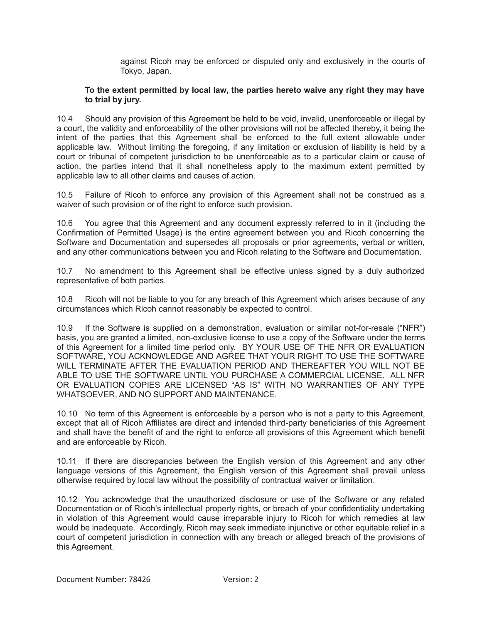against Ricoh may be enforced or disputed only and exclusively in the courts of Tokyo, Japan.

#### **To the extent permitted by local law, the parties hereto waive any right they may have to trial by jury.**

10.4 Should any provision of this Agreement be held to be void, invalid, unenforceable or illegal by a court, the validity and enforceability of the other provisions will not be affected thereby, it being the intent of the parties that this Agreement shall be enforced to the full extent allowable under applicable law. Without limiting the foregoing, if any limitation or exclusion of liability is held by a court or tribunal of competent jurisdiction to be unenforceable as to a particular claim or cause of action, the parties intend that it shall nonetheless apply to the maximum extent permitted by applicable law to all other claims and causes of action.

10.5 Failure of Ricoh to enforce any provision of this Agreement shall not be construed as a waiver of such provision or of the right to enforce such provision.

10.6 You agree that this Agreement and any document expressly referred to in it (including the Confirmation of Permitted Usage) is the entire agreement between you and Ricoh concerning the Software and Documentation and supersedes all proposals or prior agreements, verbal or written, and any other communications between you and Ricoh relating to the Software and Documentation.

10.7 No amendment to this Agreement shall be effective unless signed by a duly authorized representative of both parties.

10.8 Ricoh will not be liable to you for any breach of this Agreement which arises because of any circumstances which Ricoh cannot reasonably be expected to control.

10.9 If the Software is supplied on a demonstration, evaluation or similar not-for-resale ("NFR") basis, you are granted a limited, non-exclusive license to use a copy of the Software under the terms of this Agreement for a limited time period only. BY YOUR USE OF THE NFR OR EVALUATION SOFTWARE, YOU ACKNOWLEDGE AND AGREE THAT YOUR RIGHT TO USE THE SOFTWARE WILL TERMINATE AFTER THE EVALUATION PERIOD AND THEREAFTER YOU WILL NOT BE ABLE TO USE THE SOFTWARE UNTIL YOU PURCHASE A COMMERCIAL LICENSE. ALL NFR OR EVALUATION COPIES ARE LICENSED "AS IS" WITH NO WARRANTIES OF ANY TYPE WHATSOEVER, AND NO SUPPORT AND MAINTENANCE.

10.10 No term of this Agreement is enforceable by a person who is not a party to this Agreement, except that all of Ricoh Affiliates are direct and intended third-party beneficiaries of this Agreement and shall have the benefit of and the right to enforce all provisions of this Agreement which benefit and are enforceable by Ricoh.

10.11 If there are discrepancies between the English version of this Agreement and any other language versions of this Agreement, the English version of this Agreement shall prevail unless otherwise required by local law without the possibility of contractual waiver or limitation.

10.12 You acknowledge that the unauthorized disclosure or use of the Software or any related Documentation or of Ricoh's intellectual property rights, or breach of your confidentiality undertaking in violation of this Agreement would cause irreparable injury to Ricoh for which remedies at law would be inadequate. Accordingly, Ricoh may seek immediate injunctive or other equitable relief in a court of competent jurisdiction in connection with any breach or alleged breach of the provisions of this Agreement.